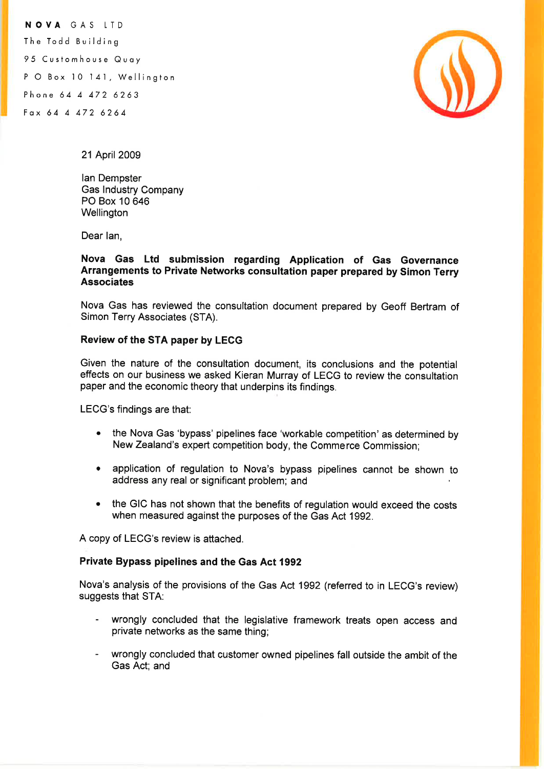NOVA GAS LTD The Todd Building 95 Customhouse Quoy P O Box 10 141, Wellington Phone 64 4 472 6263 Fox ó 4 4 472 6264



21 April 2009

lan Dempster Gas lndustry Company PO Box 10 646 **Wellington** 

Dear lan,

## Nova Gas Ltd submission regarding Application of Gas Governance Arrangements to Private Networks consultation paper prepared by Simon Terry Associates

Nova Gas has reviewed the consultation document prepared by Geoff Bertram of Simon Terry Associates (STA).

## Review of the STA paper by LECG

Given the nature of the consultation document, its conclusions and the potential effects on our business we asked Kieran Murray of LECG to review the consultation paper and the economic theory that underpins its findings.

LECG's findings are that:

- . the Nova Gas 'bypass' pipelines face 'workable competition' as determined by New Zealand's expert competition body, the Commerce Commission;
- . application of regulation to Nova's bypass pipelines cannot be shown to address any real or significant problem; and
- . the GIC has not shown that the benefits of regulation would exceed the costs when measured against the purposes of the Gas Act 1992.

A copy of LECG's review is attached.

## Private Bypass pipelines and the Gas Act 1992

Nova's analysis of the provisions of the Gas Act 1992 (referred to in LECG's review) suggests that STA:

- wrongly concluded that the legislative framework treats open access and private networks as the same thing;
- wrongly concluded that customer owned pipelines fall outside the ambit of the Gas Act; and